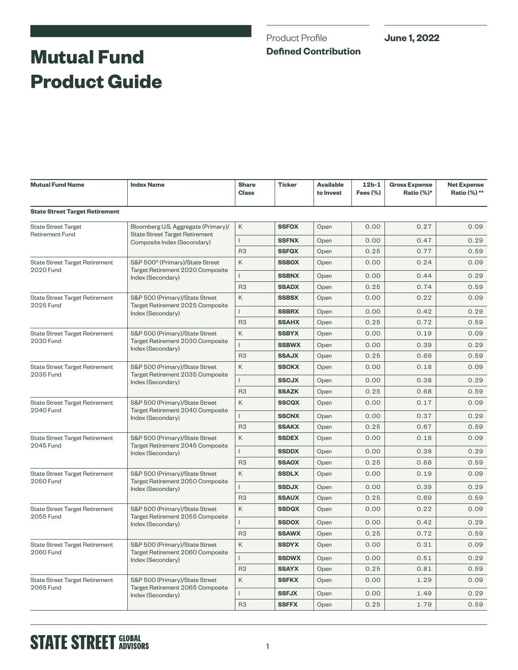## Product Profile **Defined Contribution**

# **Mutual Fund Product Guide**

| <b>Mutual Fund Name</b>                                   | <b>Index Name</b>                                                                                           | <b>Share</b><br><b>Class</b> | <b>Ticker</b> | <b>Available</b><br>to Invest | $12b-1$<br>Fees $(\%)$ | <b>Gross Expense</b><br>Ratio (%)* | <b>Net Expense</b><br>Ratio (%) ** |
|-----------------------------------------------------------|-------------------------------------------------------------------------------------------------------------|------------------------------|---------------|-------------------------------|------------------------|------------------------------------|------------------------------------|
| <b>State Street Target Retirement</b>                     |                                                                                                             |                              |               |                               |                        |                                    |                                    |
| <b>State Street Target</b><br><b>Retirement Fund</b>      | Bloomberg U.S. Aggregate (Primary)/<br><b>State Street Target Retirement</b><br>Composite Index (Secondary) | K                            | <b>SSFOX</b>  | Open                          | 0.00                   | 0.27                               | 0.09                               |
|                                                           |                                                                                                             | $\mathsf{L}$                 | <b>SSFNX</b>  | Open                          | 0.00                   | 0.47                               | 0.29                               |
|                                                           |                                                                                                             | R <sub>3</sub>               | <b>SSFQX</b>  | Open                          | 0.25                   | 0.77                               | 0.59                               |
| <b>State Street Target Retirement</b><br><b>2020 Fund</b> | S&P 500 <sup>®</sup> (Primary)/State Street<br>Target Retirement 2020 Composite<br>Index (Secondary)        | Κ                            | <b>SSBOX</b>  | Open                          | 0.00                   | 0.24                               | 0.09                               |
|                                                           |                                                                                                             | $\mathsf{L}$                 | <b>SSBNX</b>  | Open                          | 0.00                   | 0.44                               | 0.29                               |
|                                                           |                                                                                                             | R <sub>3</sub>               | <b>SSADX</b>  | Open                          | 0.25                   | 0.74                               | 0.59                               |
| <b>State Street Target Retirement</b>                     | S&P 500 (Primary)/State Street<br>Target Retirement 2025 Composite<br>Index (Secondary)                     | K                            | <b>SSBSX</b>  | Open                          | 0.00                   | 0.22                               | 0.09                               |
| 2025 Fund                                                 |                                                                                                             | L                            | <b>SSBRX</b>  | Open                          | 0.00                   | 0.42                               | 0.29                               |
|                                                           |                                                                                                             | R <sub>3</sub>               | <b>SSAHX</b>  | Open                          | 0.25                   | 0.72                               | 0.59                               |
| <b>State Street Target Retirement</b>                     | S&P 500 (Primary)/State Street<br>Target Retirement 2030 Composite<br>Index (Secondary)                     | K                            | <b>SSBYX</b>  | Open                          | 0.00                   | 0.19                               | 0.09                               |
| <b>2030 Fund</b>                                          |                                                                                                             | L                            | <b>SSBWX</b>  | Open                          | 0.00                   | 0.39                               | 0.29                               |
|                                                           |                                                                                                             | R <sub>3</sub>               | <b>SSAJX</b>  | Open                          | 0.25                   | 0.69                               | 0.59                               |
| <b>State Street Target Retirement</b>                     | S&P 500 (Primary)/State Street<br>Target Retirement 2035 Composite<br>Index (Secondary)                     | Κ                            | <b>SSCKX</b>  | Open                          | 0.00                   | 0.18                               | 0.09                               |
| 2035 Fund                                                 |                                                                                                             | L                            | <b>SSCJX</b>  | Open                          | 0.00                   | 0.38                               | 0.29                               |
|                                                           |                                                                                                             | R <sub>3</sub>               | <b>SSAZK</b>  | Open                          | 0.25                   | 0.68                               | 0.59                               |
| State Street Target Retirement<br><b>2040 Fund</b>        | S&P 500 (Primary)/State Street<br>Target Retirement 2040 Composite<br>Index (Secondary)                     | Κ                            | <b>SSCQX</b>  | Open                          | 0.00                   | 0.17                               | 0.09                               |
|                                                           |                                                                                                             | $\mathsf{L}$                 | <b>SSCNX</b>  | Open                          | 0.00                   | 0.37                               | 0.29                               |
|                                                           |                                                                                                             | R <sub>3</sub>               | <b>SSAKX</b>  | Open                          | 0.25                   | 0.67                               | 0.59                               |
| <b>State Street Target Retirement</b><br>2045 Fund        | S&P 500 (Primary)/State Street<br>Target Retirement 2045 Composite<br>Index (Secondary)                     | Κ                            | <b>SSDEX</b>  | Open                          | 0.00                   | 0.18                               | 0.09                               |
|                                                           |                                                                                                             | $\mathsf{L}$                 | <b>SSDDX</b>  | Open                          | 0.00                   | 0.38                               | 0.29                               |
|                                                           |                                                                                                             | R <sub>3</sub>               | <b>SSAOX</b>  | Open                          | 0.25                   | 0.68                               | 0.59                               |
| <b>State Street Target Retirement</b><br><b>2050 Fund</b> | S&P 500 (Primary)/State Street<br>Target Retirement 2050 Composite<br>Index (Secondary)                     | K                            | <b>SSDLX</b>  | Open                          | 0.00                   | 0.19                               | 0.09                               |
|                                                           |                                                                                                             | L                            | <b>SSDJX</b>  | Open                          | 0.00                   | 0.39                               | 0.29                               |
|                                                           |                                                                                                             | R <sub>3</sub>               | <b>SSAUX</b>  | Open                          | 0.25                   | 0.69                               | 0.59                               |
| <b>State Street Target Retirement</b><br>2055 Fund        | S&P 500 (Primary)/State Street<br>Target Retirement 2055 Composite<br>Index (Secondary)                     | K                            | <b>SSDQX</b>  | Open                          | 0.00                   | 0.22                               | 0.09                               |
|                                                           |                                                                                                             | $\mathsf{L}$                 | <b>SSDOX</b>  | Open                          | 0.00                   | 0.42                               | 0.29                               |
|                                                           |                                                                                                             | R <sub>3</sub>               | <b>SSAWX</b>  | Open                          | 0.25                   | 0.72                               | 0.59                               |
| <b>State Street Target Retirement</b><br><b>2060 Fund</b> | S&P 500 (Primary)/State Street<br>Target Retirement 2060 Composite<br>Index (Secondary)                     | K                            | <b>SSDYX</b>  | Open                          | 0.00                   | 0.31                               | 0.09                               |
|                                                           |                                                                                                             | $\mathsf{L}$                 | <b>SSDWX</b>  | Open                          | 0.00                   | 0.51                               | 0.29                               |
|                                                           |                                                                                                             | R <sub>3</sub>               | <b>SSAYX</b>  | Open                          | 0.25                   | 0.81                               | 0.59                               |
| <b>State Street Target Retirement</b>                     | S&P 500 (Primary)/State Street                                                                              | Κ                            | <b>SSFKX</b>  | Open                          | 0.00                   | 1.29                               | 0.09                               |
| 2065 Fund                                                 | Target Retirement 2065 Composite<br>Index (Secondary)                                                       | T                            | <b>SSFJX</b>  | Open                          | 0.00                   | 1.49                               | 0.29                               |
|                                                           |                                                                                                             | R <sub>3</sub>               | <b>SSFFX</b>  | Open                          | 0.25                   | 1.79                               | 0.59                               |

## **STATE STREET SLOBAL**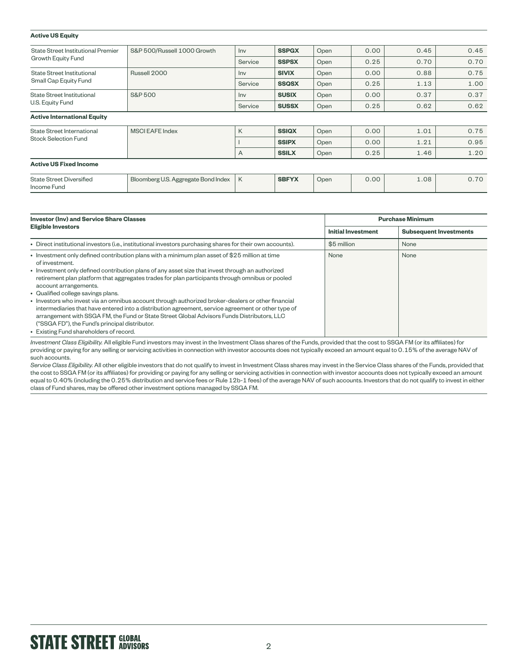| <b>Active US Equity</b>                                         |                                     |         |              |      |      |      |      |
|-----------------------------------------------------------------|-------------------------------------|---------|--------------|------|------|------|------|
| State Street Institutional Premier<br><b>Growth Equity Fund</b> | S&P 500/Russell 1000 Growth         | Inv     | <b>SSPGX</b> | Open | 0.00 | 0.45 | 0.45 |
|                                                                 |                                     | Service | <b>SSPSX</b> | Open | 0.25 | 0.70 | 0.70 |
| State Street Institutional<br>Small Cap Equity Fund             | Russell 2000                        | Inv     | <b>SIVIX</b> | Open | 0.00 | 0.88 | 0.75 |
|                                                                 |                                     | Service | <b>SSQSX</b> | Open | 0.25 | 1.13 | 1.00 |
| State Street Institutional<br>U.S. Equity Fund                  | <b>S&amp;P 500</b>                  | Inv     | <b>SUSIX</b> | Open | 0.00 | 0.37 | 0.37 |
|                                                                 |                                     | Service | <b>SUSSX</b> | Open | 0.25 | 0.62 | 0.62 |
| <b>Active International Equity</b>                              |                                     |         |              |      |      |      |      |
| State Street International<br>Stock Selection Fund              | <b>MSCI EAFE Index</b>              | K       | <b>SSIQX</b> | Open | 0.00 | 1.01 | 0.75 |
|                                                                 |                                     |         | <b>SSIPX</b> | Open | 0.00 | 1.21 | 0.95 |
|                                                                 |                                     | A       | <b>SSILX</b> | Open | 0.25 | 1.46 | 1.20 |
| <b>Active US Fixed Income</b>                                   |                                     |         |              |      |      |      |      |
| <b>State Street Diversified</b><br>Income Fund                  | Bloomberg U.S. Aggregate Bond Index | K       | <b>SBFYX</b> | Open | 0.00 | 1.08 | 0.70 |

| <b>Investor (Inv) and Service Share Classes</b>                                                                                                                                                                                                                                                                                                                                                                                                                                                                                                                                                                                                                                                                                                                                               | <b>Purchase Minimum</b>   |                               |  |  |
|-----------------------------------------------------------------------------------------------------------------------------------------------------------------------------------------------------------------------------------------------------------------------------------------------------------------------------------------------------------------------------------------------------------------------------------------------------------------------------------------------------------------------------------------------------------------------------------------------------------------------------------------------------------------------------------------------------------------------------------------------------------------------------------------------|---------------------------|-------------------------------|--|--|
| <b>Eligible Investors</b>                                                                                                                                                                                                                                                                                                                                                                                                                                                                                                                                                                                                                                                                                                                                                                     | <b>Initial Investment</b> | <b>Subsequent Investments</b> |  |  |
| • Direct institutional investors (i.e., institutional investors purchasing shares for their own accounts).                                                                                                                                                                                                                                                                                                                                                                                                                                                                                                                                                                                                                                                                                    | \$5 million               | None                          |  |  |
| • Investment only defined contribution plans with a minimum plan asset of \$25 million at time<br>of investment.<br>• Investment only defined contribution plans of any asset size that invest through an authorized<br>retirement plan platform that aggregates trades for plan participants through omnibus or pooled<br>account arrangements.<br>• Qualified college savings plans.<br>• Investors who invest via an omnibus account through authorized broker-dealers or other financial<br>intermediaries that have entered into a distribution agreement, service agreement or other type of<br>arrangement with SSGA FM, the Fund or State Street Global Advisors Funds Distributors, LLC<br>("SSGA FD"), the Fund's principal distributor.<br>• Existing Fund shareholders of record. | None                      | None                          |  |  |

*Investment Class Eligibility.* All eligible Fund investors may invest in the Investment Class shares of the Funds, provided that the cost to SSGA FM (or its affiliates) for providing or paying for any selling or servicing activities in connection with investor accounts does not typically exceed an amount equal to 0.15% of the average NAV of such accounts.

Service Class Eligibility. All other eligible investors that do not qualify to invest in Investment Class shares may invest in the Service Class shares of the Funds, provided that the cost to SSGA FM (or its affiliates) for providing or paying for any selling or servicing activities in connection with investor accounts does not typically exceed an amount equal to 0.40% (including the 0.25% distribution and service fees or Rule 12b-1 fees) of the average NAV of such accounts. Investors that do not qualify to invest in either class of Fund shares, may be offered other investment options managed by SSGA FM.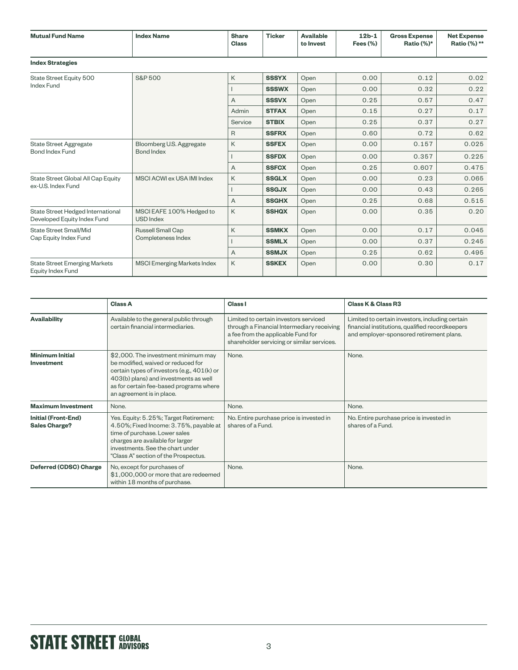| <b>Mutual Fund Name</b>                                          | <b>Index Name</b>                             | <b>Share</b><br><b>Class</b> | <b>Ticker</b> | <b>Available</b><br>to Invest | $12b-1$<br>Fees $(\%)$ | <b>Gross Expense</b><br>Ratio (%)* | <b>Net Expense</b><br>Ratio (%) ** |
|------------------------------------------------------------------|-----------------------------------------------|------------------------------|---------------|-------------------------------|------------------------|------------------------------------|------------------------------------|
| <b>Index Strategies</b>                                          |                                               |                              |               |                               |                        |                                    |                                    |
| State Street Equity 500<br><b>Index Fund</b>                     | <b>S&amp;P 500</b>                            | K                            | <b>SSSYX</b>  | Open                          | 0.00                   | 0.12                               | 0.02                               |
|                                                                  |                                               |                              | <b>SSSWX</b>  | Open                          | 0.00                   | 0.32                               | 0.22                               |
|                                                                  |                                               | A                            | <b>SSSVX</b>  | Open                          | 0.25                   | 0.57                               | 0.47                               |
|                                                                  |                                               | Admin                        | <b>STFAX</b>  | Open                          | 0.15                   | 0.27                               | 0.17                               |
|                                                                  |                                               | Service                      | <b>STBIX</b>  | Open                          | 0.25                   | 0.37                               | 0.27                               |
|                                                                  |                                               | $\mathsf{R}$                 | <b>SSFRX</b>  | Open                          | 0.60                   | 0.72                               | 0.62                               |
| <b>State Street Aggregate</b><br><b>Bond Index Fund</b>          | Bloomberg U.S. Aggregate<br><b>Bond Index</b> | K                            | <b>SSFEX</b>  | Open                          | 0.00                   | 0.157                              | 0.025                              |
|                                                                  |                                               |                              | <b>SSFDX</b>  | Open                          | 0.00                   | 0.357                              | 0.225                              |
|                                                                  |                                               | A                            | <b>SSFCX</b>  | Open                          | 0.25                   | 0.607                              | 0.475                              |
| State Street Global All Cap Equity<br>ex-U.S. Index Fund         | MSCI ACWI ex USA IMI Index                    | K                            | <b>SSGLX</b>  | Open                          | 0.00                   | 0.23                               | 0.065                              |
|                                                                  |                                               |                              | <b>SSGJX</b>  | Open                          | 0.00                   | 0.43                               | 0.265                              |
|                                                                  |                                               | A                            | <b>SSGHX</b>  | Open                          | 0.25                   | 0.68                               | 0.515                              |
| State Street Hedged International<br>Developed Equity Index Fund | MSCI EAFE 100% Hedged to<br><b>USD Index</b>  | K                            | <b>SSHQX</b>  | Open                          | 0.00                   | 0.35                               | 0.20                               |
| <b>State Street Small/Mid</b><br>Cap Equity Index Fund           | Russell Small Cap<br>Completeness Index       | K                            | <b>SSMKX</b>  | Open                          | 0.00                   | 0.17                               | 0.045                              |
|                                                                  |                                               |                              | <b>SSMLX</b>  | Open                          | 0.00                   | 0.37                               | 0.245                              |
|                                                                  |                                               | A                            | <b>SSMJX</b>  | Open                          | 0.25                   | 0.62                               | 0.495                              |
| <b>State Street Emerging Markets</b><br>Equity Index Fund        | <b>MSCI Emerging Markets Index</b>            | K                            | <b>SSKEX</b>  | Open                          | 0.00                   | 0.30                               | 0.17                               |

|                                                    | <b>Class A</b>                                                                                                                                                                                                                            | Class I                                                                                                                                                                 | <b>Class K &amp; Class R3</b>                                                                                                                  |
|----------------------------------------------------|-------------------------------------------------------------------------------------------------------------------------------------------------------------------------------------------------------------------------------------------|-------------------------------------------------------------------------------------------------------------------------------------------------------------------------|------------------------------------------------------------------------------------------------------------------------------------------------|
| <b>Availability</b>                                | Available to the general public through<br>certain financial intermediaries.                                                                                                                                                              | Limited to certain investors serviced<br>through a Financial Intermediary receiving<br>a fee from the applicable Fund for<br>shareholder servicing or similar services. | Limited to certain investors, including certain<br>financial institutions, qualified recordkeepers<br>and employer-sponsored retirement plans. |
| <b>Minimum Initial</b><br><b>Investment</b>        | \$2,000. The investment minimum may<br>be modified, waived or reduced for<br>certain types of investors (e.g., 401(k) or<br>403(b) plans) and investments as well<br>as for certain fee-based programs where<br>an agreement is in place. | None.                                                                                                                                                                   | None.                                                                                                                                          |
| <b>Maximum Investment</b>                          | None.                                                                                                                                                                                                                                     | None.                                                                                                                                                                   | None.                                                                                                                                          |
| <b>Initial (Front-End)</b><br><b>Sales Charge?</b> | Yes. Equity: 5.25%; Target Retirement:<br>4.50%; Fixed Income: 3.75%, payable at<br>time of purchase. Lower sales<br>charges are available for larger<br>investments. See the chart under<br>"Class A" section of the Prospectus.         | No. Entire purchase price is invested in<br>shares of a Fund.                                                                                                           | No. Entire purchase price is invested in<br>shares of a Fund.                                                                                  |
| <b>Deferred (CDSC) Charge</b>                      | No, except for purchases of<br>\$1,000,000 or more that are redeemed<br>within 18 months of purchase.                                                                                                                                     | None.                                                                                                                                                                   | None.                                                                                                                                          |